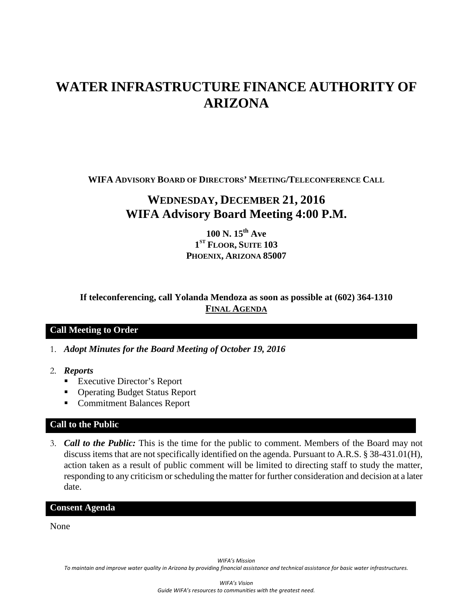# **WATER INFRASTRUCTURE FINANCE AUTHORITY OF ARIZONA**

**WIFA ADVISORY BOARD OF DIRECTORS' MEETING/TELECONFERENCE CALL**

# **WEDNESDAY, DECEMBER 21, 2016 WIFA Advisory Board Meeting 4:00 P.M.**

**100 N. 15th Ave 1ST FLOOR, SUITE 103 PHOENIX, ARIZONA 85007**

**If teleconferencing, call Yolanda Mendoza as soon as possible at (602) 364-1310 FINAL AGENDA**

# **Call Meeting to Order**

- 1. *Adopt Minutes for the Board Meeting of October 19, 2016*
- 2. *Reports*
	- Executive Director's Report
	- Operating Budget Status Report
	- **Commitment Balances Report**

## **Call to the Public**

3. *Call to the Public:* This is the time for the public to comment. Members of the Board may not discuss items that are not specifically identified on the agenda. Pursuant to A.R.S. § 38-431.01(H), action taken as a result of public comment will be limited to directing staff to study the matter, responding to any criticism or scheduling the matter for further consideration and decision at a later date.

#### **Consent Agenda**

None

*WIFA's Mission*

*To maintain and improve water quality in Arizona by providing financial assistance and technical assistance for basic water infrastructures.*